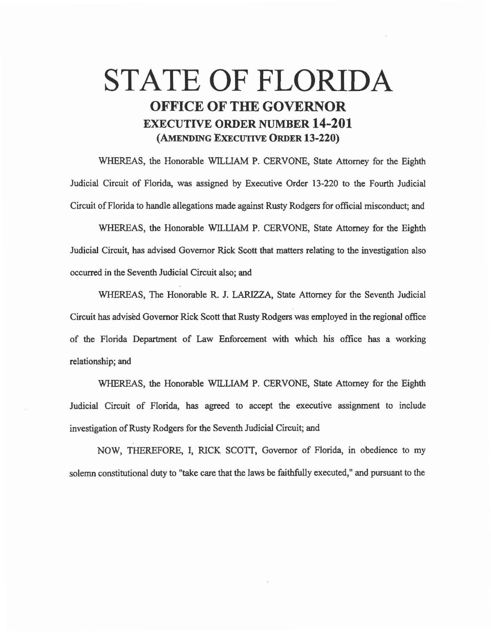## STATE OF FLORIDA OFFICE OF THE GOVERNOR EXECUTIVE ORDER NUMBER 14-201 (AMENDING EXECUTIVE ORDER 13-220)

WHEREAS, the Honorable WILLIAM P. CERVONE, State Attorney for the Eighth Judicial Circuit of Florida, was assigned by Executive Order 13-220 to the Fourth Judicial Circuit of Florida to handle allegations made against Rusty Rodgers for official misconduct; and

WHEREAS, the Honorable WILLIAM P. CERVONE, State Attorney for the Eighth Judicial Circuit, has advised Governor Rick Scott that matters relating to the investigation also occurred in the Seventh Judicial Circuit also; and

WHEREAS, The Honorable R. J. LARIZZA, State Attorney for the Seventh Judicial Circuit has advised Governor Rick Scott that Rusty Rodgers was employed in the regional office of the Florida Department of Law Enforcement with which his office has a working relationship; and

WHEREAS, the Honorable WILLIAM P. CERVONE, State Attorney for the Eighth Judicial Circuit of Florida, has agreed to accept the executive assignment to include investigation of Rusty Rodgers for the Seventh Judicial Circuit; and

NOW, THEREFORE, I, RICK SCOTI, Governor of Florida, in obedience to my solemn constitutional duty to "take care that the laws be faithfully executed," and pursuant to the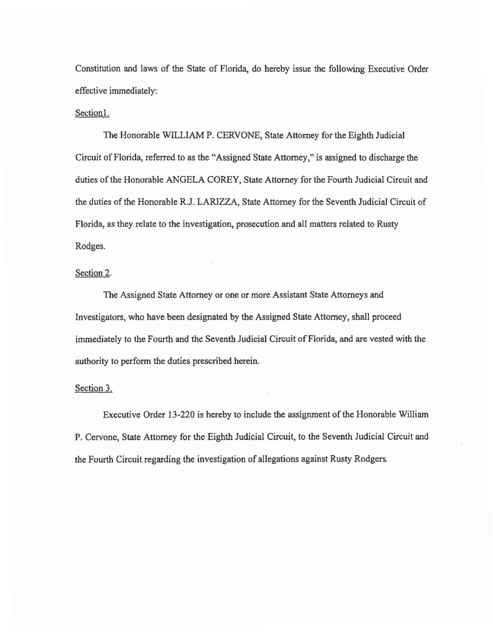Constitution and laws of the State of Florida, do hereby issue the following Executive Order effective immediately:

## Section!.

The Honorable WILLIAM P. CERVONE, State Attorney for the Eighth Judicial Circuit of Florida, referred to as the "Assigned State Attorney," is assigned to discharge the duties of the Honorable ANGELA COREY, State Attorney for the Fourth Judicial Circuit and the duties of the Honorable R.J. LARIZZA, State Attorney for the Seventh Judicial Circuit of Florida, as they relate to the investigation, prosecution and all matters related to Rusty Rodges.

## Section 2.

The Assigned State Attorney or one or more Assistant State Attorneys and Investigators, who have been designated by the Assigned State Attorney, shall proceed immediately to the Fourth and the Seventh Judicial Circuit of Florida, and are vested with the authority to perform the duties prescribed herein.

## Section 3.

Executive Order 13~220 is hereby to include the assignment of the Honorable William P. Cervone, State Attorney for the Eighth Judicial Circuit, to the Seventh Judicial Circuit and the Fourth Circuit regarding the investigation of allegations against Rusty Rodgers.